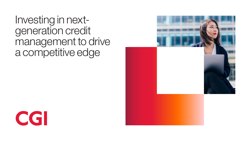Investing in nextgeneration credit management to drive a competitive edge



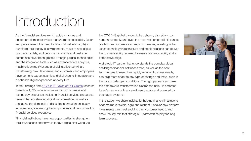Introduction

As the financial services world rapidly changes and customers demand services that are more accessible, faster and personalized, the need for financial institutions (FIs) to transform their legacy IT environments, move to new digital business models, and become more agile and customer centric has never been greater. Emerging digital technologies and the integration tools such as advanced data analytics, machine learning (ML) and artificial intelligence (AI) are transforming how FIs operate, and customers and employees have come to expect seamless digital channel integration and a cohesive digital experience at every turn.

In fact, findings from [CGI's 2021 Voice of Our Clients](https://www.cgi.com/en/retail-banking-and-consumer-finance/voice-of-our-clients) research, based on 1,695 in-person interviews with business and technology executives, including financial services executives, reveals that accelerating digital transformation, as well as managing the demands of digital transformation on legacy infrastructure, are among the top priorities and trends cited by financial services executives.

Financial institutions have new opportunities to strengthen their foundations and thrive in today's digital-first world. As the COVID-19 global pandemic has shown, disruptions can happen suddenly, and even the most well-prepared FIs cannot predict their occurrence or impact. However, investing in the latest technology infrastructure and credit solutions can deliver the business agility required to ensure resiliency, agility and a competitive edge.

A strategic IT partner that understands the complex global challenges financial institutions face, as well as the best technologies to meet their rapidly evolving business needs, can help them adapt to any type of change and thrive, even in the most challenging conditions. The right partner can make the path toward transformation clearer and help FIs embrace today's new era of finance—driven by data and powered by open agile systems.

In this paper, we share insights for helping financial institutions become more flexible, agile and resilient, uncover how platform investments can meet evolving their customer needs, and show the key role that strategic IT partnerships play for longterm success.

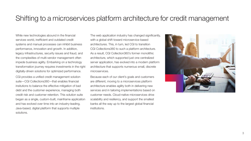### Shifting to a microservices platform architecture for credit management

While new technologies abound in the financial services world, inefficient and outdated credit systems and manual processes can inhibit business performance, innovation and growth. In addition, legacy infrastructures, security issues and fraud, and the complexities of multi-vendor management often impede business agility. Embarking on a technology transformation journey requires investments in the right digitally-driven solutions for optimized performance.

CGI provides a unified credit management solution suite—CGI Collections360—that enables financial insitutions to balance the effective mitigation of bad debt and the customer experience, managing both credit risk and customer retention. This solution suite began as a single, custom-built, mainframe application and has evolved over time into an industry-leading, Java-based, digital platform that supports multiple solutions.

The web application industry has changed significantly, with a global shift toward microservice-based architectures. This, in turn, led CGI to transition CGI Collections360 to such a platform architecture. As a result, CGI Collection360's former monolithic architecture, which supported just one centralized server application, has evolved into a modern platform architecture that supports numerous small, discrete microservices.

Because each of our client's goals and customers are different, moving to a microservices platform architecture enables agility both in delivering new services and in tailoring implementations based on customer needs. Cloud-native microservices drive scalability and resiliency, and support the smallest banks all the way up to the largest global financial institutions.

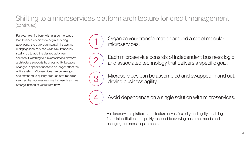### Shifting to a microservices platform architecture for credit management (continued)

For example, if a bank with a large mortgage loan business decides to begin servicing auto loans, the bank can maintain its existing mortgage loan services while simultaneously scaling up to add the desired auto loan services. Switching to a microservices platform architecture supports business agility because changes in specific functions no longer affect the entire system. Microservices can be arranged and extended to quickly produce new modular services that address new market needs as they emerge instead of years from now.



Organize your transformation around a set of modular microservices.



Each microservice consists of independent business logic and associated technology that delivers a specific goal.



 $\mathcal{B}$  Microservices can be assembled and swapped in and out, driving business agility.



Avoid dependence on a single solution with microservices.

A microservices platform architecture drives flexibility and agility, enabling financial institutions to quickly respond to evolving customer needs and changing business requirements.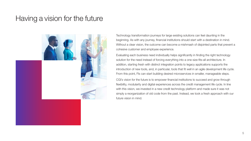### Having a vision for the future



Technology transformation journeys for large existing solutions can feel daunting in the beginning. As with any journey, financial institutions should start with a destination in mind. Without a clear vision, the outcome can become a mishmash of disjointed parts that prevent a cohesive customer and employee experience.

Evaluating each business need individually helps significantly in finding the right technology solution for the need instead of forcing everything into a one-size-fits-all architecture. In addition, starting fresh with distinct integration points to legacy applications supports the introduction of new tools, and, in particular, tools that fit well in an agile development life cycle. From this point, FIs can start building desired microservices in smaller, manageable steps.

CGI's vision for the future is to empower financial institutions to succeed and grow through flexibility, modularity and digital experiences across the credit management life cycle. In line with this vision, we invested in a new credit technology platform and made sure it was not simply a reorganization of old code from the past. Instead, we took a fresh approach with our future vision in mind.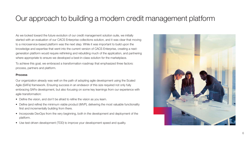# Our approach to building a modern credit management platform

As we looked toward the future evolution of our credit management solution suite, we initially started with an evaluation of our CACS Enterprise collections solution, and it was clear that moving to a microservice-based platform was the next step. While it was important to build upon the knowledge and expertise that went into the current version of CACS Enterprise, creating a nextgeneration platform would require rethinking and rebuilding much of the application, and partnering where appropriate to ensure we developed a best-in-class solution for the marketplace.

To achieve this goal, we embraced a transformation roadmap that emphasized three factors: process, partners and platform.

#### Process

Our organization already was well on the path of adopting agile development using the Scaled Agile (SAFe) framework. Ensuring success in an endeavor of this size required not only fully embracing SAFe development, but also focusing on some key learnings from our experience with agile transformation:

- Define the vision, and don't be afraid to refine the vision as you learn.
- Define (and refine) the minimum viable product (MVP), delivering the most valuable functionality first and incrementally building from there.
- Incorporate DevOps from the very beginning, both in the development and deployment of the platform.
- Use test-driven development (TDD) to improve your development speed and quality.

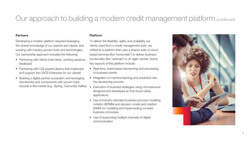# Our approach to building a modern credit management platform (continued)

#### **Partners**

Developing a modern platform required leveraging the shared knowledge of our experts and clients, and working with industry-proven tools and technologies. Our partnership approach included the following:

- Partnering with clients (interviews, working sessions, feedback)
- Partnering with CGI experts (teams that implement and support the CACS Enterprise for our clients)
- Building a digital partner ecosystem and leveraging frameworks and components with proven track records in the market (e.g., Spring, Camunda, Kafka)

#### Platform

To deliver the flexibility, agility and scalability our clients need from a credit management suite, we shifted to a platform that uses a shared suite of cloudbased services (the "horizontals") to deliver business functionality (the "verticals") in an agile manner. Some key aspects of this platform include:

- Real-time, event-based decisioning and processing of business events
- Integration of machine learning and prediction into the decisioning process
- Execution of business strategies using microservices designed and developed as true cloud-native applications
- Use of industry-standard business process modeling notation (BPMN) and decision model and notation (DMN) for modeling and implementing complex business processes
- Use of supporting multiple channels of digital communication

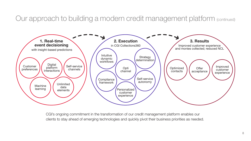Our approach to building a modern credit management platform (continued)



CGI's ongoing commitment in the transformation of our credit management platform enables our clients to stay ahead of emerging technologies and quickly pivot their business priorities as needed.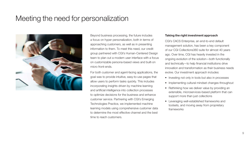### Meeting the need for personalization



Beyond business processing, the future includes a focus on hyper personalization, both in terms of approaching customers, as well as in presenting information to them. To meet this need, our credit group partnered with CGI's Human-Centered Design team to plan out a modern user interface with a focus on customizable persona-based views and built-on micro front-ends.

For both customer and agent-facing applications, the goal was to provide intuitive, easy-to-use pages that allow users to perform tasks quickly. This includes incorporating insights driven by machine learning and artificial intelligence into collection processes to optimize decisions for the business and enhance customer service. Partnering with CGI's Emerging Technologies Practice, we implemented machine learning models using comprehensive customer data to determine the most effective channel and the best time to reach customers.

#### Taking the right investment approach

CGI's CACS Enterprise, an end-to-end default management solution, has been a key component of our CGI Collections360 suite for almost 40 years ago. Over time, CGI has heavily invested in the ongoing evolution of the solution—both functionally and technically—to help financial institutions drive innovation and transformation as their business needs evolve. Our investment approach includes:

- Investing not only in tools but also in processes
- Implementing cultural mindset changes throughout
- Rethinking how we deliver value by providing an extensible, microservices-based platform that can support more than just collections
- Leveraging well-established frameworks and toolsets, and moving away from proprietary frameworks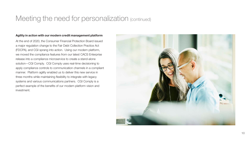## Meeting the need for personalization (continued)

#### Agility in action with our modern credit management platform

At the end of 2020, the Consumer Financial Protection Board issued a major regulation change to the Fair Debt Collection Practice Act (FDCPA), and CGI sprang into action. Using our modern platform, we moved the compliance features from our latest CACS Enterprise release into a compliance microservice to create a stand-alone solution—CGI Comply. CGI Comply uses real-time decisioning to apply compliance controls to communication channels in a compliant manner. Platform agility enabled us to deliver this new service in three months while maintaining flexibility to integrate with legacy systems and various communications partners. CGI Comply is a perfect example of the benefits of our modern platform vision and investment.

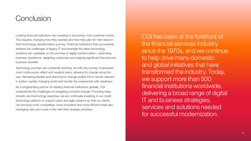### Conclusion

Leading financial institutions are investing in becoming more customer-centric. This requires changing how they operate and how they plan for next steps in their technology transformation journey. Financial institutions that successfully address the challenges of legacy IT and leverage the latest technology solutions can capitalize on the promise of digital transformation—optimizing business operations, delighting customers and reaping significant financial and business benefits.

Technology journeys are constantly evolving. As with any journey, businesses must continuously reflect and readjust plans, allowing for change along the way. Remaining flexible and planning for change enable FIs to remain relevant in today's rapidly changing world and handle the unexpected with readiness.

As a longstanding partner for leading financial institutions globally, CGI understands the challenges of navigating constant change. Providing deep industry and technology expertise, we are continually investing in our credit technology platform to support open and agile systems so that our clients can become more competitive, more innovative and more efficient while also managing risks and costs in line with their strategic priorities.

CGI has been at the forefront of the financial services industry since the 1970s, and we continue to help drive many domestic and global initiatives that have transformed the industry. Today, we support more than 500 financial institutions worldwide, delivering a broad range of digital IT and business strategies, services and solutions needed for successful modernization.